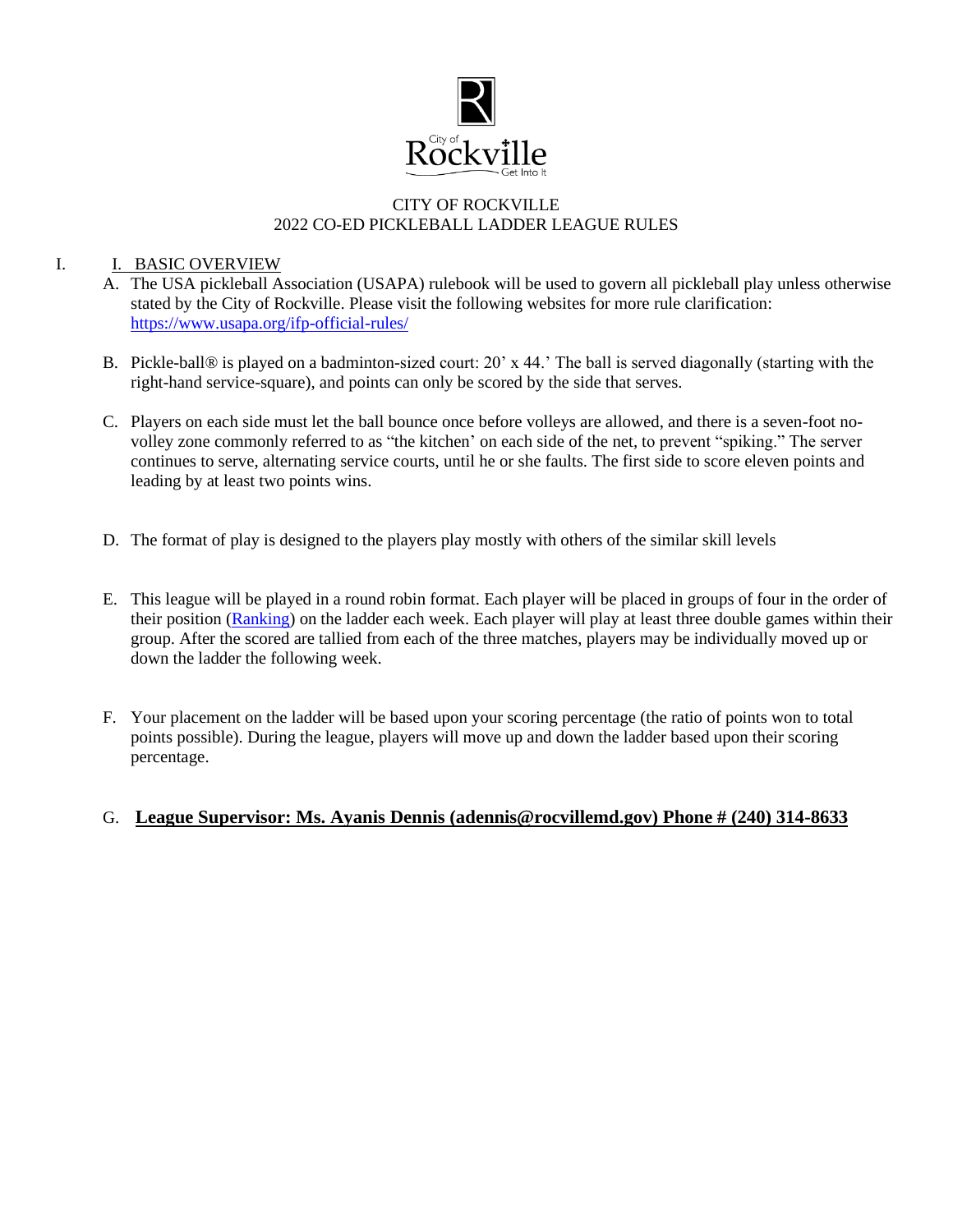

### CITY OF ROCKVILLE 2022 CO-ED PICKLEBALL LADDER LEAGUE RULES

#### I. I. BASIC OVERVIEW

- A. The USA pickleball Association (USAPA) rulebook will be used to govern all pickleball play unless otherwise stated by the City of Rockville. Please visit the following websites for more rule clarification: <https://www.usapa.org/ifp-official-rules/>
- B. Pickle-ball® is played on a badminton-sized court: 20' x 44.' The ball is served diagonally (starting with the right-hand service-square), and points can only be scored by the side that serves.
- C. Players on each side must let the ball bounce once before volleys are allowed, and there is a seven-foot novolley zone commonly referred to as "the kitchen' on each side of the net, to prevent "spiking." The server continues to serve, alternating service courts, until he or she faults. The first side to score eleven points and leading by at least two points wins.
- D. The format of play is designed to the players play mostly with others of the similar skill levels
- E. This league will be played in a round robin format. Each player will be placed in groups of four in the order of their position [\(Ranking\)](https://usapickleball.org/tournaments/usapa-tournament-player-ratings/player-skill-rating-definitions/) on the ladder each week. Each player will play at least three double games within their group. After the scored are tallied from each of the three matches, players may be individually moved up or down the ladder the following week.
- F. Your placement on the ladder will be based upon your scoring percentage (the ratio of points won to total points possible). During the league, players will move up and down the ladder based upon their scoring percentage.

### G. **League Supervisor: Ms. Ayanis Dennis (adennis@rocvillemd.gov) Phone # (240) 314-8633**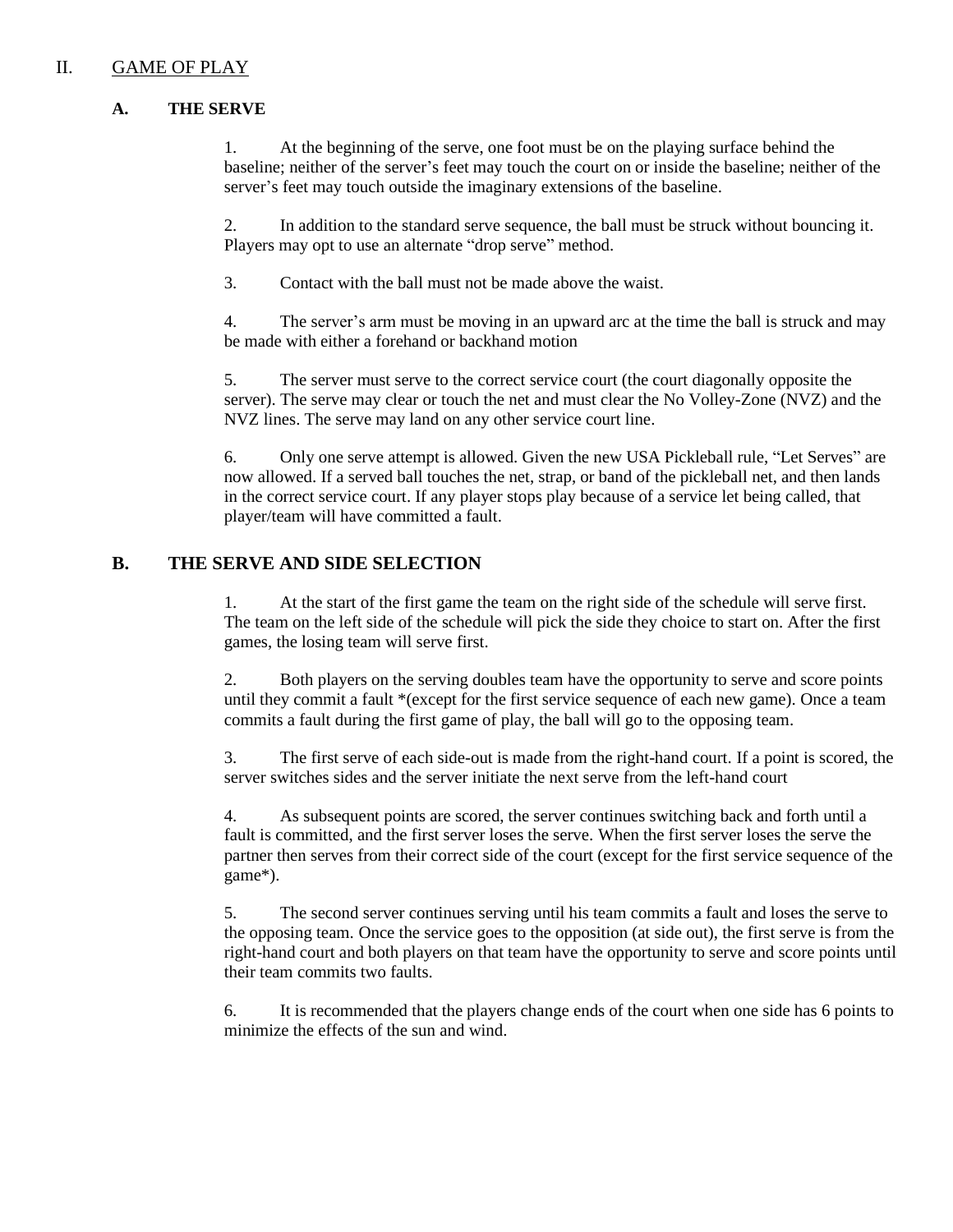### II. GAME OF PLAY

#### **A. THE SERVE**

1. At the beginning of the serve, one foot must be on the playing surface behind the baseline; neither of the server's feet may touch the court on or inside the baseline; neither of the server's feet may touch outside the imaginary extensions of the baseline.

2. In addition to the standard serve sequence, the ball must be struck without bouncing it. Players may opt to use an alternate "drop serve" method.

3. Contact with the ball must not be made above the waist.

4. The server's arm must be moving in an upward arc at the time the ball is struck and may be made with either a forehand or backhand motion

5. The server must serve to the correct service court (the court diagonally opposite the server). The serve may clear or touch the net and must clear the No Volley-Zone (NVZ) and the NVZ lines. The serve may land on any other service court line.

6. Only one serve attempt is allowed. Given the new USA Pickleball rule, "Let Serves" are now allowed. If a served ball touches the net, strap, or band of the pickleball net, and then lands in the correct service court. If any player stops play because of a service let being called, that player/team will have committed a fault.

## **B. THE SERVE AND SIDE SELECTION**

1. At the start of the first game the team on the right side of the schedule will serve first. The team on the left side of the schedule will pick the side they choice to start on. After the first games, the losing team will serve first.

2. Both players on the serving doubles team have the opportunity to serve and score points until they commit a fault \*(except for the first service sequence of each new game). Once a team commits a fault during the first game of play, the ball will go to the opposing team.

3. The first serve of each side-out is made from the right-hand court. If a point is scored, the server switches sides and the server initiate the next serve from the left-hand court

4. As subsequent points are scored, the server continues switching back and forth until a fault is committed, and the first server loses the serve. When the first server loses the serve the partner then serves from their correct side of the court (except for the first service sequence of the game\*).

5. The second server continues serving until his team commits a fault and loses the serve to the opposing team. Once the service goes to the opposition (at side out), the first serve is from the right-hand court and both players on that team have the opportunity to serve and score points until their team commits two faults.

6. It is recommended that the players change ends of the court when one side has 6 points to minimize the effects of the sun and wind.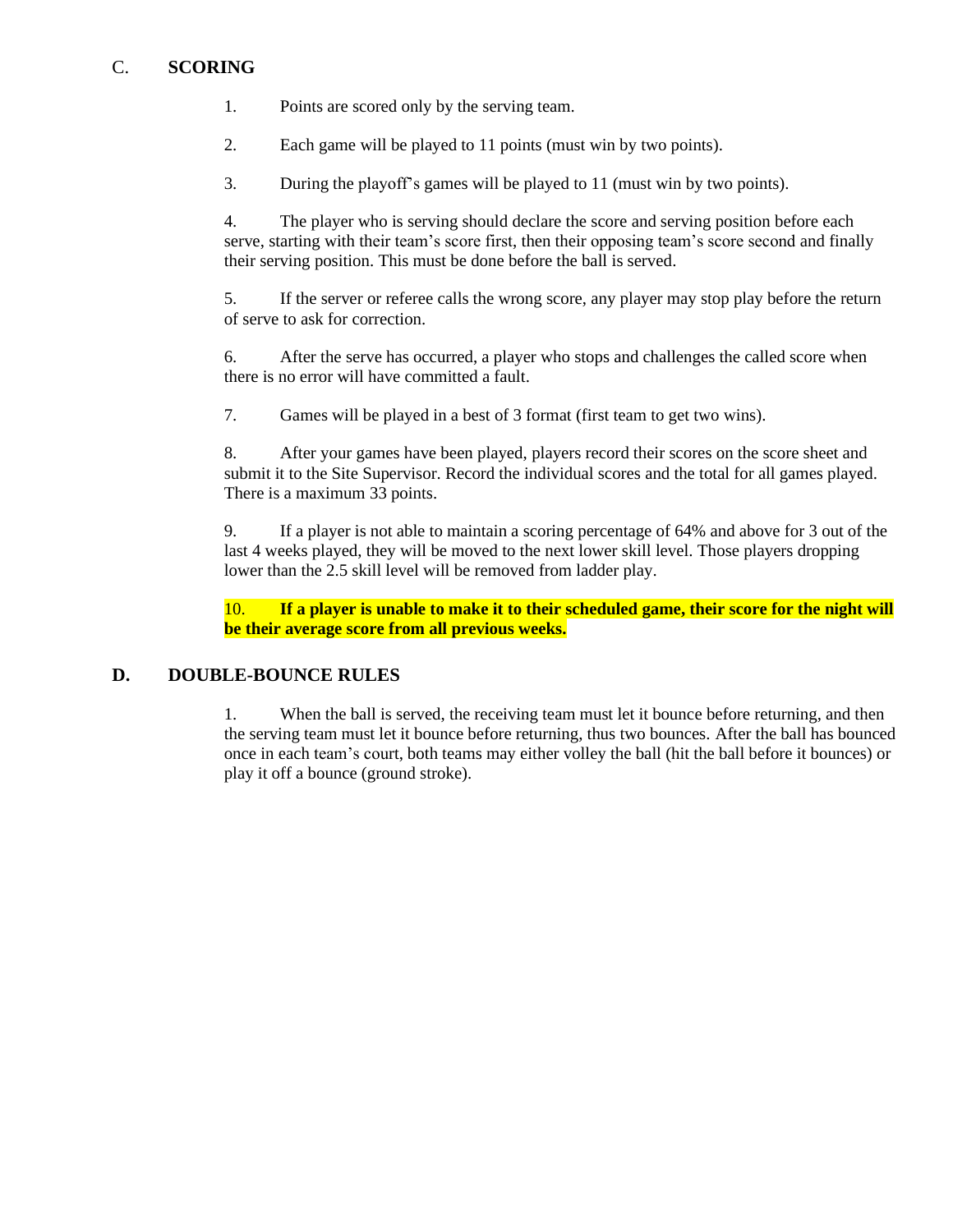## C. **SCORING**

- 1. Points are scored only by the serving team.
- 2. Each game will be played to 11 points (must win by two points).
- 3. During the playoff's games will be played to 11 (must win by two points).

4. The player who is serving should declare the score and serving position before each serve, starting with their team's score first, then their opposing team's score second and finally their serving position. This must be done before the ball is served.

5. If the server or referee calls the wrong score, any player may stop play before the return of serve to ask for correction.

6. After the serve has occurred, a player who stops and challenges the called score when there is no error will have committed a fault.

7. Games will be played in a best of 3 format (first team to get two wins).

8. After your games have been played, players record their scores on the score sheet and submit it to the Site Supervisor. Record the individual scores and the total for all games played. There is a maximum 33 points.

9. If a player is not able to maintain a scoring percentage of 64% and above for 3 out of the last 4 weeks played, they will be moved to the next lower skill level. Those players dropping lower than the 2.5 skill level will be removed from ladder play.

10. **If a player is unable to make it to their scheduled game, their score for the night will be their average score from all previous weeks.** 

### **D. DOUBLE-BOUNCE RULES**

1. When the ball is served, the receiving team must let it bounce before returning, and then the serving team must let it bounce before returning, thus two bounces. After the ball has bounced once in each team's court, both teams may either volley the ball (hit the ball before it bounces) or play it off a bounce (ground stroke).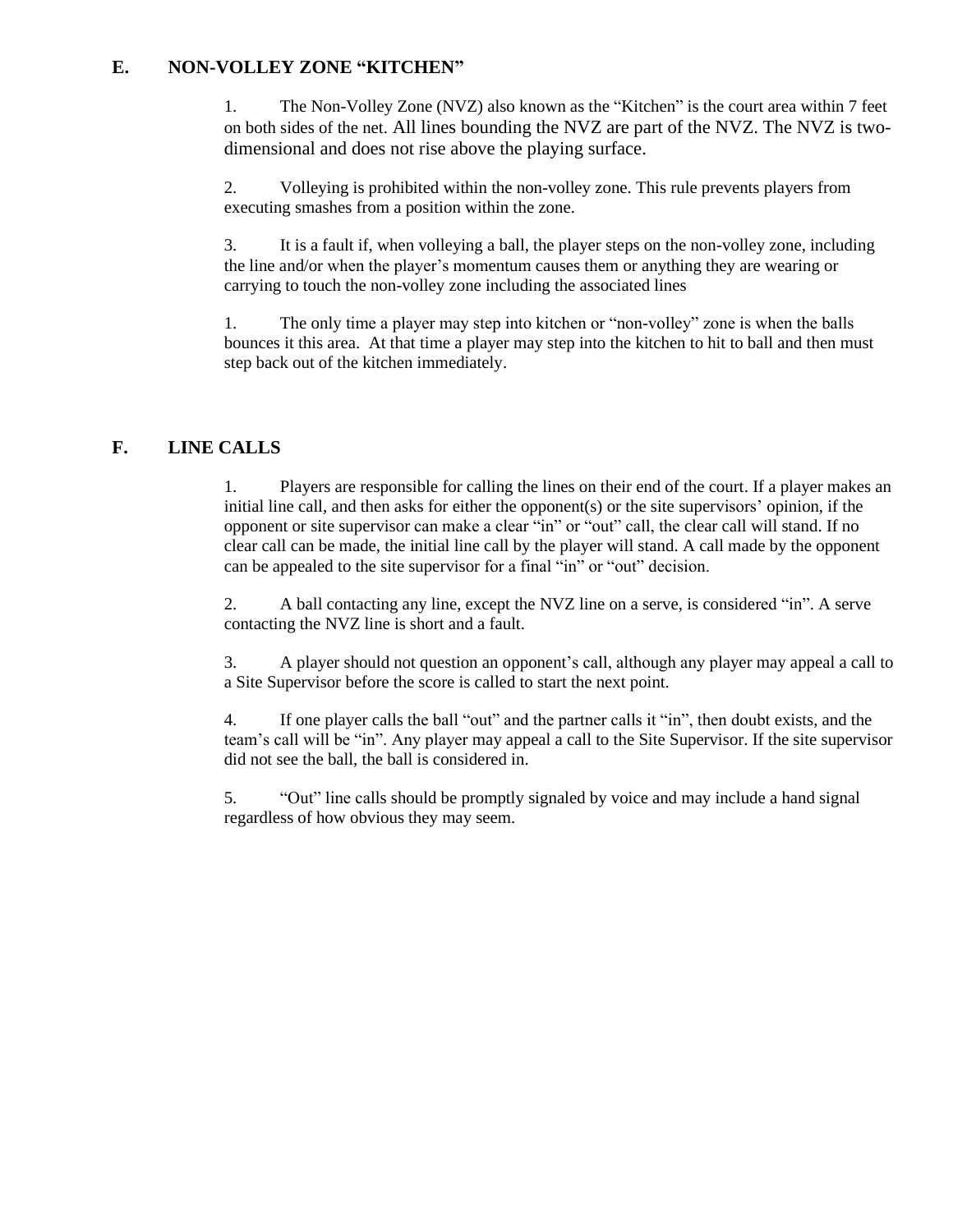## **E. NON-VOLLEY ZONE "KITCHEN"**

1. The Non-Volley Zone (NVZ) also known as the "Kitchen" is the court area within 7 feet on both sides of the net. All lines bounding the NVZ are part of the NVZ. The NVZ is twodimensional and does not rise above the playing surface.

2. Volleying is prohibited within the non-volley zone. This rule prevents players from executing smashes from a position within the zone.

3. It is a fault if, when volleying a ball, the player steps on the non-volley zone, including the line and/or when the player's momentum causes them or anything they are wearing or carrying to touch the non-volley zone including the associated lines

1. The only time a player may step into kitchen or "non-volley" zone is when the balls bounces it this area. At that time a player may step into the kitchen to hit to ball and then must step back out of the kitchen immediately.

## **F. LINE CALLS**

1. Players are responsible for calling the lines on their end of the court. If a player makes an initial line call, and then asks for either the opponent(s) or the site supervisors' opinion, if the opponent or site supervisor can make a clear "in" or "out" call, the clear call will stand. If no clear call can be made, the initial line call by the player will stand. A call made by the opponent can be appealed to the site supervisor for a final "in" or "out" decision.

2. A ball contacting any line, except the NVZ line on a serve, is considered "in". A serve contacting the NVZ line is short and a fault.

3. A player should not question an opponent's call, although any player may appeal a call to a Site Supervisor before the score is called to start the next point.

4. If one player calls the ball "out" and the partner calls it "in", then doubt exists, and the team's call will be "in". Any player may appeal a call to the Site Supervisor. If the site supervisor did not see the ball, the ball is considered in.

5. "Out" line calls should be promptly signaled by voice and may include a hand signal regardless of how obvious they may seem.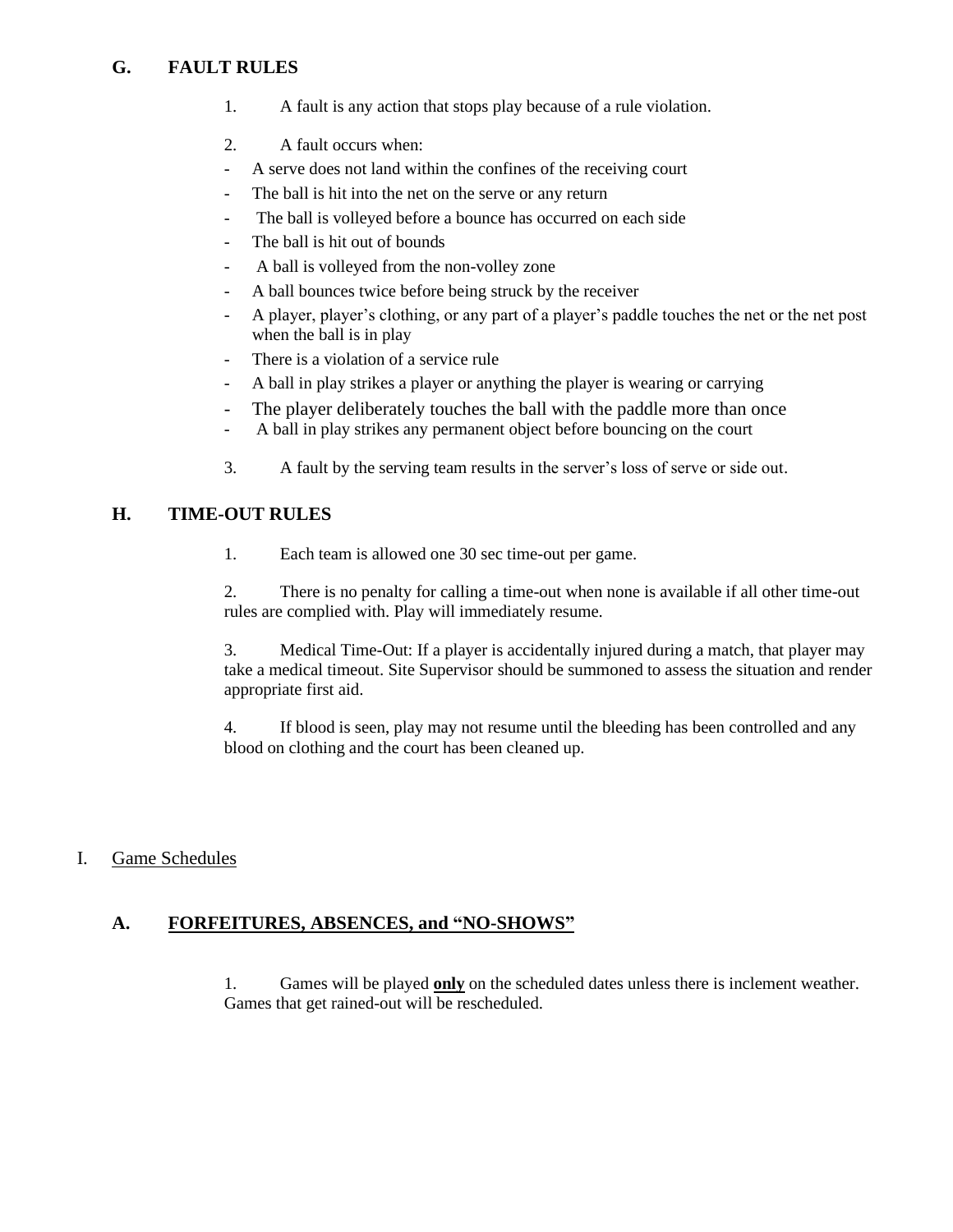## **G. FAULT RULES**

- 1. A fault is any action that stops play because of a rule violation.
- 2. A fault occurs when:
- A serve does not land within the confines of the receiving court
- The ball is hit into the net on the serve or any return
- The ball is volleyed before a bounce has occurred on each side
- The ball is hit out of bounds
- A ball is volleyed from the non-volley zone
- A ball bounces twice before being struck by the receiver
- A player, player's clothing, or any part of a player's paddle touches the net or the net post when the ball is in play
- There is a violation of a service rule
- A ball in play strikes a player or anything the player is wearing or carrying
- The player deliberately touches the ball with the paddle more than once
- A ball in play strikes any permanent object before bouncing on the court
- 3. A fault by the serving team results in the server's loss of serve or side out.

## **H. TIME-OUT RULES**

1. Each team is allowed one 30 sec time-out per game.

2. There is no penalty for calling a time-out when none is available if all other time-out rules are complied with. Play will immediately resume.

3. Medical Time-Out: If a player is accidentally injured during a match, that player may take a medical timeout. Site Supervisor should be summoned to assess the situation and render appropriate first aid.

4. If blood is seen, play may not resume until the bleeding has been controlled and any blood on clothing and the court has been cleaned up.

### I. Game Schedules

### **A. FORFEITURES, ABSENCES, and "NO-SHOWS"**

1. Games will be played **only** on the scheduled dates unless there is inclement weather. Games that get rained-out will be rescheduled.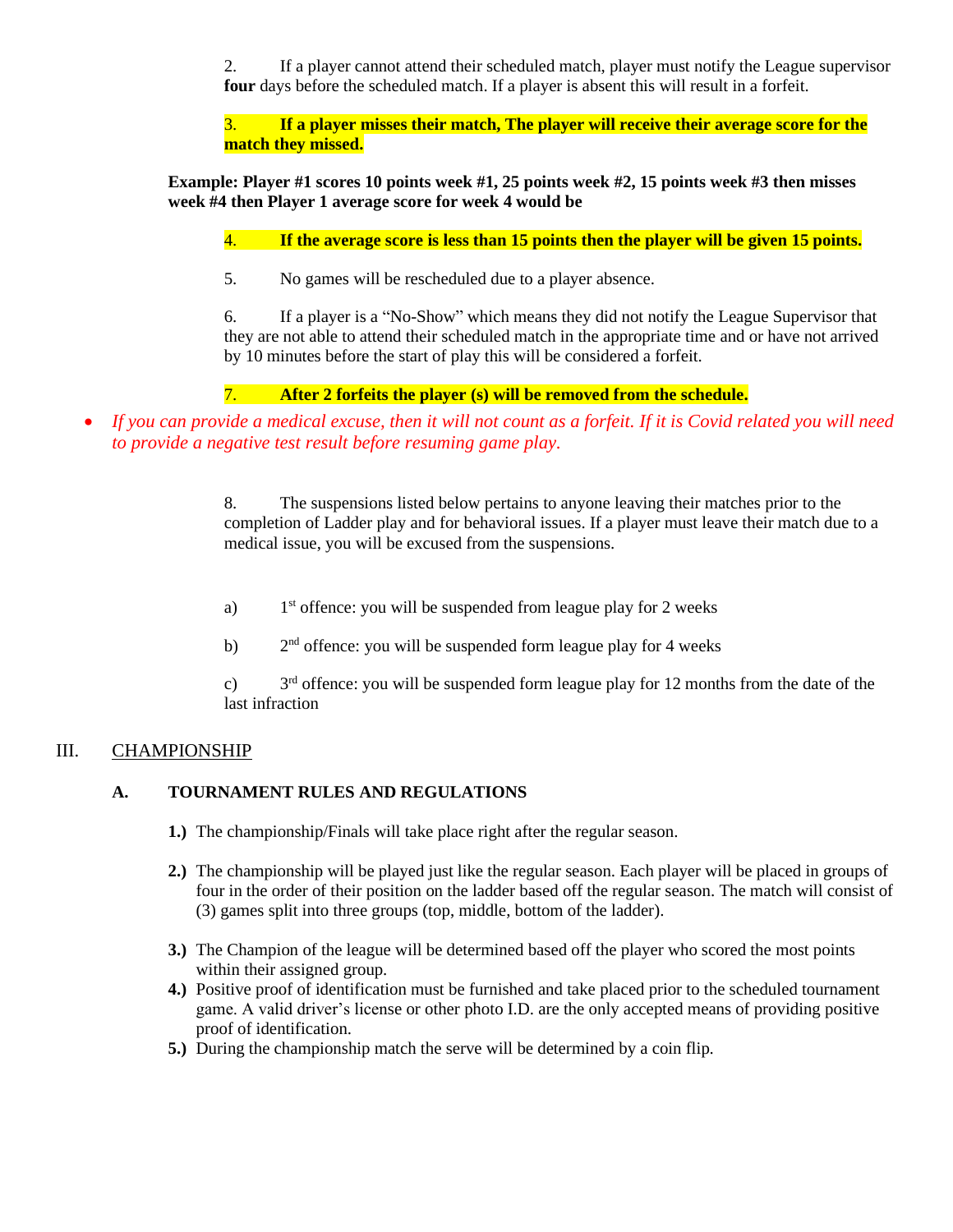2. If a player cannot attend their scheduled match, player must notify the League supervisor **four** days before the scheduled match. If a player is absent this will result in a forfeit.

3. **If a player misses their match, The player will receive their average score for the match they missed.** 

**Example: Player #1 scores 10 points week #1, 25 points week #2, 15 points week #3 then misses week #4 then Player 1 average score for week 4 would be**

4. **If the average score is less than 15 points then the player will be given 15 points.**

5. No games will be rescheduled due to a player absence.

6. If a player is a "No-Show" which means they did not notify the League Supervisor that they are not able to attend their scheduled match in the appropriate time and or have not arrived by 10 minutes before the start of play this will be considered a forfeit.

## 7. **After 2 forfeits the player (s) will be removed from the schedule.**

• *If you can provide a medical excuse, then it will not count as a forfeit. If it is Covid related you will need to provide a negative test result before resuming game play.*

> 8. The suspensions listed below pertains to anyone leaving their matches prior to the completion of Ladder play and for behavioral issues. If a player must leave their match due to a medical issue, you will be excused from the suspensions.

- a)  $1<sup>st</sup>$  offence: you will be suspended from league play for 2 weeks
- $b)$  $2<sup>nd</sup>$  offence: you will be suspended form league play for 4 weeks

 $c)$  $3<sup>rd</sup>$  offence: you will be suspended form league play for 12 months from the date of the last infraction

## III. CHAMPIONSHIP

## **A. TOURNAMENT RULES AND REGULATIONS**

- **1.)** The championship/Finals will take place right after the regular season.
- **2.)** The championship will be played just like the regular season. Each player will be placed in groups of four in the order of their position on the ladder based off the regular season. The match will consist of (3) games split into three groups (top, middle, bottom of the ladder).
- **3.)** The Champion of the league will be determined based off the player who scored the most points within their assigned group.
- **4.)** Positive proof of identification must be furnished and take placed prior to the scheduled tournament game. A valid driver's license or other photo I.D. are the only accepted means of providing positive proof of identification.
- **5.)** During the championship match the serve will be determined by a coin flip.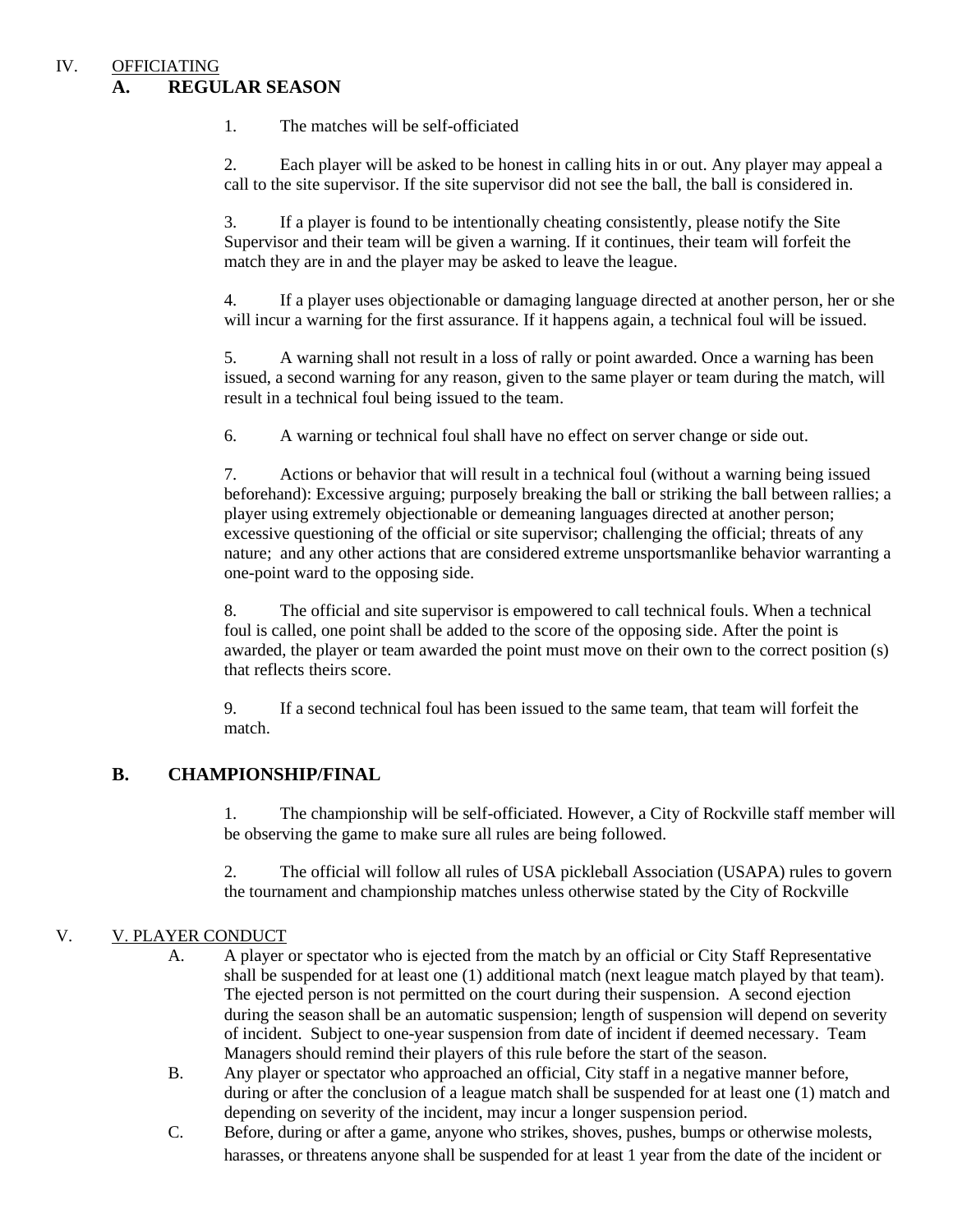#### IV. OFFICIATING **A. REGULAR SEASON**

1. The matches will be self-officiated

2. Each player will be asked to be honest in calling hits in or out. Any player may appeal a call to the site supervisor. If the site supervisor did not see the ball, the ball is considered in.

3. If a player is found to be intentionally cheating consistently, please notify the Site Supervisor and their team will be given a warning. If it continues, their team will forfeit the match they are in and the player may be asked to leave the league.

4. If a player uses objectionable or damaging language directed at another person, her or she will incur a warning for the first assurance. If it happens again, a technical foul will be issued.

5. A warning shall not result in a loss of rally or point awarded. Once a warning has been issued, a second warning for any reason, given to the same player or team during the match, will result in a technical foul being issued to the team.

6. A warning or technical foul shall have no effect on server change or side out.

7. Actions or behavior that will result in a technical foul (without a warning being issued beforehand): Excessive arguing; purposely breaking the ball or striking the ball between rallies; a player using extremely objectionable or demeaning languages directed at another person; excessive questioning of the official or site supervisor; challenging the official; threats of any nature; and any other actions that are considered extreme unsportsmanlike behavior warranting a one-point ward to the opposing side.

8. The official and site supervisor is empowered to call technical fouls. When a technical foul is called, one point shall be added to the score of the opposing side. After the point is awarded, the player or team awarded the point must move on their own to the correct position (s) that reflects theirs score.

9. If a second technical foul has been issued to the same team, that team will forfeit the match.

## **B. CHAMPIONSHIP/FINAL**

1. The championship will be self-officiated. However, a City of Rockville staff member will be observing the game to make sure all rules are being followed.

2. The official will follow all rules of USA pickleball Association (USAPA) rules to govern the tournament and championship matches unless otherwise stated by the City of Rockville

### V. V. PLAYER CONDUCT

- A. A player or spectator who is ejected from the match by an official or City Staff Representative shall be suspended for at least one (1) additional match (next league match played by that team). The ejected person is not permitted on the court during their suspension. A second ejection during the season shall be an automatic suspension; length of suspension will depend on severity of incident. Subject to one-year suspension from date of incident if deemed necessary. Team Managers should remind their players of this rule before the start of the season.
- B. Any player or spectator who approached an official, City staff in a negative manner before, during or after the conclusion of a league match shall be suspended for at least one (1) match and depending on severity of the incident, may incur a longer suspension period.
- C. Before, during or after a game, anyone who strikes, shoves, pushes, bumps or otherwise molests, harasses, or threatens anyone shall be suspended for at least 1 year from the date of the incident or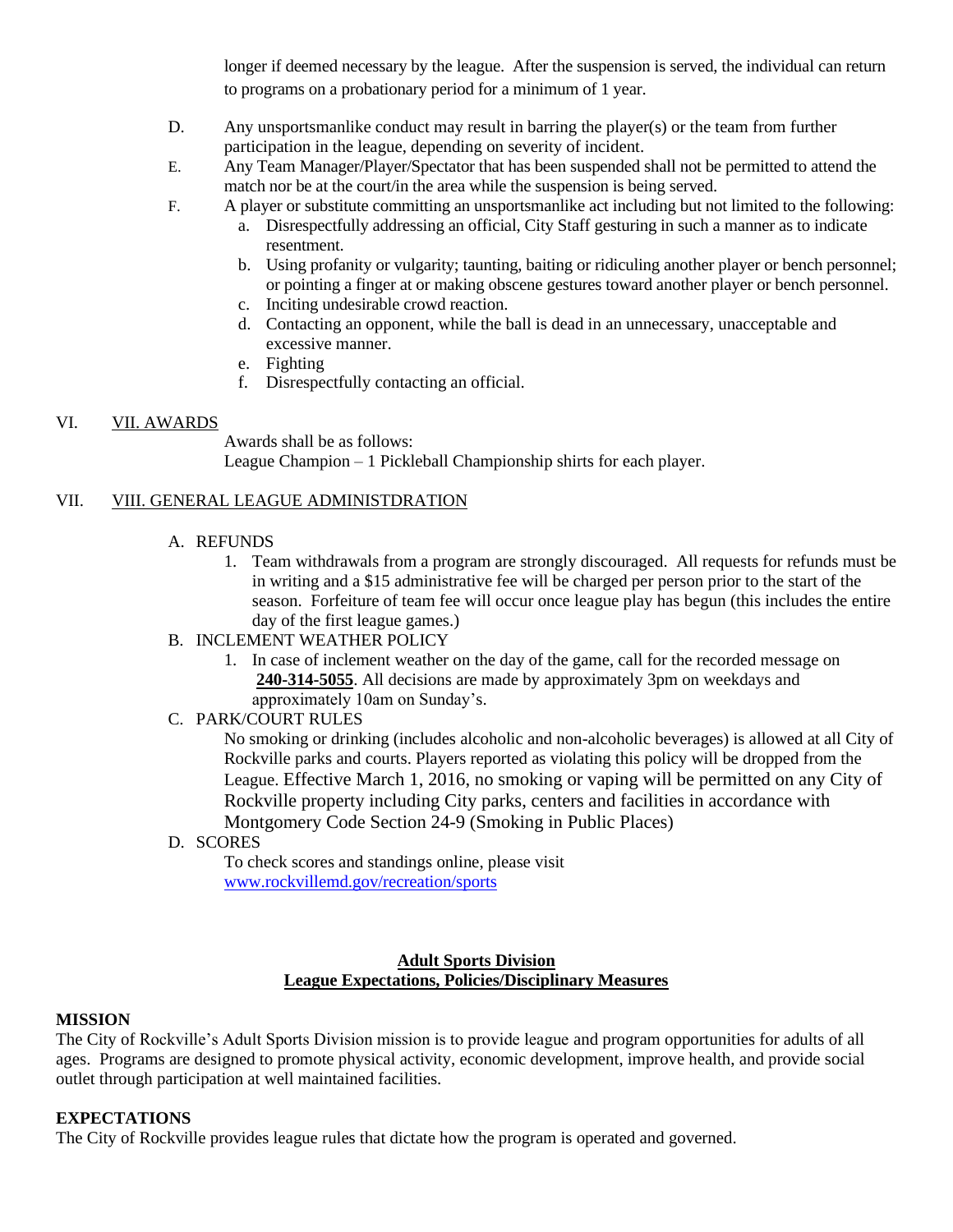longer if deemed necessary by the league. After the suspension is served, the individual can return to programs on a probationary period for a minimum of 1 year.

- D. Any unsportsmanlike conduct may result in barring the player(s) or the team from further participation in the league, depending on severity of incident.
- E. Any Team Manager/Player/Spectator that has been suspended shall not be permitted to attend the match nor be at the court/in the area while the suspension is being served.
- F. A player or substitute committing an unsportsmanlike act including but not limited to the following:
	- a. Disrespectfully addressing an official, City Staff gesturing in such a manner as to indicate resentment.
	- b. Using profanity or vulgarity; taunting, baiting or ridiculing another player or bench personnel; or pointing a finger at or making obscene gestures toward another player or bench personnel.
	- c. Inciting undesirable crowd reaction.
	- d. Contacting an opponent, while the ball is dead in an unnecessary, unacceptable and excessive manner.
	- e. Fighting
	- f. Disrespectfully contacting an official.

#### VI. VII. AWARDS

Awards shall be as follows: League Champion – 1 Pickleball Championship shirts for each player.

### VII. VIII. GENERAL LEAGUE ADMINISTDRATION

#### A. REFUNDS

- 1. Team withdrawals from a program are strongly discouraged. All requests for refunds must be in writing and a \$15 administrative fee will be charged per person prior to the start of the season. Forfeiture of team fee will occur once league play has begun (this includes the entire day of the first league games.)
- B. INCLEMENT WEATHER POLICY
	- 1. In case of inclement weather on the day of the game, call for the recorded message on **240-314-5055**. All decisions are made by approximately 3pm on weekdays and approximately 10am on Sunday's.
- C. PARK/COURT RULES

No smoking or drinking (includes alcoholic and non-alcoholic beverages) is allowed at all City of Rockville parks and courts. Players reported as violating this policy will be dropped from the League. Effective March 1, 2016, no smoking or vaping will be permitted on any City of Rockville property including City parks, centers and facilities in accordance with Montgomery Code Section 24-9 (Smoking in Public Places)

D. SCORES

To check scores and standings online, please visit [www.rockvillemd.gov/recreation/sports](http://www.rockvillemd.gov/recreation/sports)

#### **Adult Sports Division League Expectations, Policies/Disciplinary Measures**

#### **MISSION**

The City of Rockville's Adult Sports Division mission is to provide league and program opportunities for adults of all ages. Programs are designed to promote physical activity, economic development, improve health, and provide social outlet through participation at well maintained facilities.

### **EXPECTATIONS**

The City of Rockville provides league rules that dictate how the program is operated and governed.